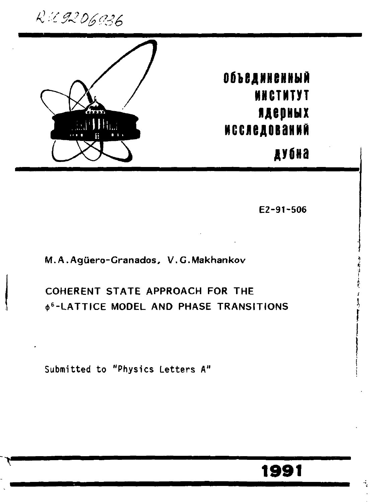R 2 9206936



# **Объединенный WHCTNTYT ядерных ИССЛЕДОВАНИЙ**

дубна

E2-91-506

### M.A.Agüero-Granados, V.G.Makhankov

## COHERENT STATE APPROACH FOR THE **¢<sup>6</sup>-LATTICE MODEL AND PHASE TRANSITIONS**

Submitted to "Physics Letters A"

## 1991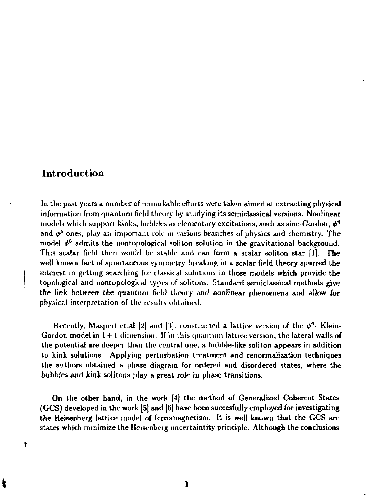#### Introduction

ŧ

In the past years a number of remarkable efforts were taken aimed at extracting physical information from quantum field theory by studying its semiclassicaJ versions. Nonlinear models which support kinks, bubbles as elementary excitations, such as sine-Gordon, *ф\**  and  $\phi^6$  ones, play an important role in various branches of physics and chemistry. The model  $\phi^6$  admits the nontopological soliton solution in the gravitational background. This scalar field then would be stable and can form a scalar soliton star [I]. The well known fart of spontaneous symmetry breaking in a scalar field theory spurred the interest in getting searching for classical solutions in those models which provide the topological and nontopological types of solitons. Standard semiclassical methods give the link between the quantum field theory and nonlinear phenomena and allow for physical interpretation of the results obtained.

Recently, Masperi et.al [2] and [3], constructed a lattice version of the  $\phi^\mathsf{o}$ - Klein-Gordon model in 1 + 1 dimension. II in this quantum lattice version, the lateral walls of the potential are deeper than the central one, a bubble-like soliton appears in addition to kink solutions. Applying perturbation treatment and renormalization techniques the authors obtained a phase diagram for ordered and disordered states, where the bubbles and kink solitons play a great role in phase transitions.

On the other hand, in the work [4] the method of Generalized Coherent States (GCS) developed in the work [5] and [6] have been succesfully employed for investigating the Heisenberg lattice model of ferromagnetism. It is well known that the GCS are states which minimize the Heisenberg uncertaintity principle. Although the conclusions

**I 1**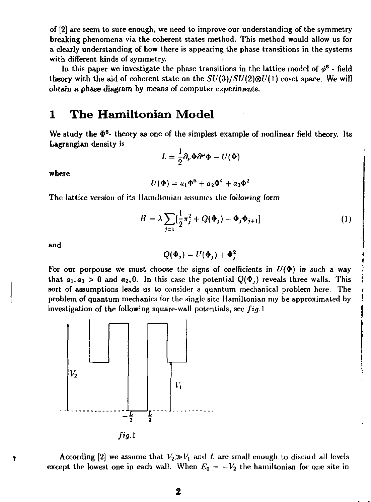of [2] are seem to sure enough, we need to improve our understanding of the symmetry breaking phenomena via the coherent states method. This method would allow us for a clearly understanding of how there is appearing the phase transitions in the systems with different kinds of symmetry.

In this paper we investigate the phase transitions in the lattice model of  $\phi^6$  - field theory with the aid of coherent state on the  $SU(3)/SU(2)\otimes U(1)$  coset space. We will obtain a phase diagram by means of computer experiments.

## 1 The Hamiltonian Model

We study the  $\Phi^6$ - theory as one of the simplest example of nonlinear field theory. Its Lagrangian density is

$$
L=\frac{1}{2}\partial_{\mu}\Phi\partial^{\mu}\Phi-U(\Phi)
$$

where

$$
U(\Phi) = a_1 \Phi^6 + a_2 \Phi^4 + a_3 \Phi^2
$$

The lattice version of its Hamiltonian assumes the following form

$$
H = \lambda \sum_{j=1} \left[ \frac{1}{2} \pi_j^2 + Q(\Phi_j) - \Phi_j \Phi_{j+1} \right]
$$
 (1)

and

$$
Q(\Phi_j) = U(\Phi_j) + \Phi_j^2
$$

For our porpouse we must choose the signs of coefficients in  $U(\Phi)$  in such a way that  $a_1, a_3 > 0$  and  $a_2, 0$ . In this case the potential  $Q(\Phi)$ , reveals three walls. This sort of assumptions leads us to consider a quantum mechanical problem here. The problem of quantum mechanics for the single site Hamiltonian my be approximated by investigation of the following square-wall potentials, see *fig.l* 



According [2] we assume that  $V_2 \gg V_1$  and *L* are small enough to discard all levels except the lowest one in each wall. When  $E_0 = -V_2$  the hamiltonian for one site in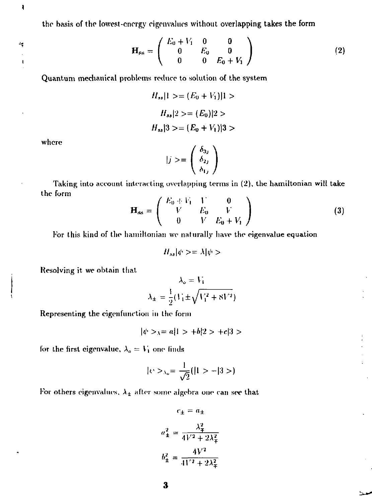the basis of the lowest-energy eigenvalues without overlapping takes **the form** 

$$
\mathbf{H}_{\rm ss} = \left( \begin{array}{ccc} E_0 + V_1 & 0 & 0 \\ 0 & E_0 & 0 \\ 0 & 0 & E_0 + V_1 \end{array} \right) \tag{2}
$$

Quantum meclianiral problems reduce to solution of the system

$$
H_{ss}|1\rangle = (E_0 + V_1)|1\rangle
$$
  
\n
$$
H_{ss}|2\rangle = (E_0)|2\rangle
$$
  
\n
$$
H_{ss}|3\rangle = (E_0 + V_1)|3\rangle
$$

where

 $\pmb{\mathsf{I}}$ 

÷  $\mathbf{I}$ 

$$
|j\rangle = \begin{pmatrix} \delta_{3j} \\ \delta_{2j} \\ \delta_{1j} \end{pmatrix}
$$

Taking into account interacting overlapping terms in (2), the hamiltonian will take the form

$$
\mathbf{H}_{\rm ss} = \begin{pmatrix} E_0 + V_1 & V & 0 \\ V & E_0 & V \\ 0 & V & E_0 + V_1 \end{pmatrix}
$$
 (3)

For this kind of the hamiltonian we naturally have the eigenvalue equation

$$
H_{ss}|\psi\rangle = \lambda|\psi\rangle
$$

Resolving it we obtain that

$$
\lambda_{\phi} = V_1
$$
  

$$
\lambda_{\pm} = \frac{1}{2} (V_1 \pm \sqrt{V_1^2 + 8V^2})
$$

Representing the eigenfunction in the form

$$
|\psi\rangle_{\lambda} = a|1\rangle + b|2\rangle + c|3\rangle
$$

for the first eigenvalue,  $\lambda_o = V_1$  one linds

$$
|\psi \rangle_{\lambda_0} = \frac{1}{\sqrt{2}} (|1 \rangle - |3 \rangle)
$$

For others eigenvalues,  $\lambda_\pm$  after some algebra one can see that

$$
c_{\pm} = a_{\pm}
$$

$$
a_{\pm}^{2} = \frac{\lambda_{\pm}^{2}}{4V^{2} + 2\lambda_{\pm}^{2}}
$$

$$
b_{\pm}^{2} = \frac{4V^{2}}{4V^{2} + 2\lambda_{\pm}^{2}}
$$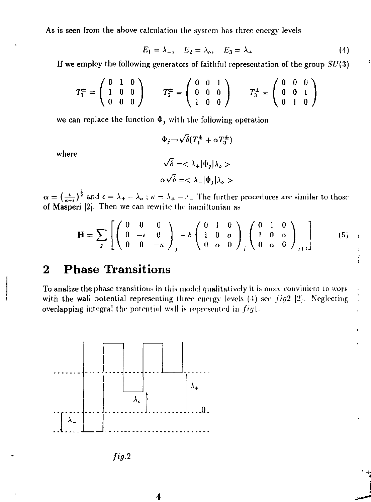As is seen from the above calculation the system has three energy levels

$$
E_1 = \lambda_-, \quad E_2 = \lambda_o, \quad E_3 = \lambda_+ \tag{4}
$$

If we employ the following generators of faithful representation of the group  $SU(3)$ 

$$
T_1^{\pm} = \left(\begin{array}{ccc} 0 & 1 & 0 \\ 1 & 0 & 0 \\ 0 & 0 & 0 \end{array}\right) \qquad T_2^{\pm} = \left(\begin{array}{ccc} 0 & 0 & 1 \\ 0 & 0 & 0 \\ 1 & 0 & 0 \end{array}\right) \qquad T_3^{\pm} = \left(\begin{array}{ccc} 0 & 0 & 0 \\ 0 & 0 & 1 \\ 0 & 1 & 0 \end{array}\right)
$$

we can replace the function  $\Phi_j$  with the following operation

$$
\Phi_j \to \sqrt{\delta} (T_1^{\pm} + \alpha T_3^{\pm})
$$
  

$$
\sqrt{\delta} = \langle \lambda_+ | \Phi_j | \lambda_0 \rangle
$$
  

$$
\alpha \sqrt{\delta} = \langle \lambda_- | \Phi_j | \lambda_0 \rangle
$$

where

 $\alpha = \left(\frac{\epsilon}{\epsilon - \epsilon}\right)^{\frac{1}{2}}$  and  $\epsilon = \lambda_+ - \lambda_0$ ;  $\kappa = \lambda_+ - \lambda_-$  The further procedures are similar to those of Masperi [2]. Then we can rewrite the hamiltonian as

$$
\mathbf{H} = \sum_{j} \left[ \begin{pmatrix} 0 & 0 & 0 \\ 0 & -\epsilon & 0 \\ 0 & 0 & -\kappa \end{pmatrix}_{j} - \delta \begin{pmatrix} 0 & 1 & 0 \\ 1 & 0 & \alpha \\ 0 & \alpha & 0 \end{pmatrix}_{j} \begin{pmatrix} 0 & 1 & 0 \\ 1 & 0 & \alpha \\ 0 & \alpha & 0 \end{pmatrix}_{j+1} \right] \tag{5}
$$

## 2 Phase Transitions

To analize the phase transitions in this model qualitatively it is more convinient to work with the wall potential representing three energy levels (4) see fig2 [2]. Neglecting overlapping integral the potential wall is represented in  $f\bar{q}l$ .



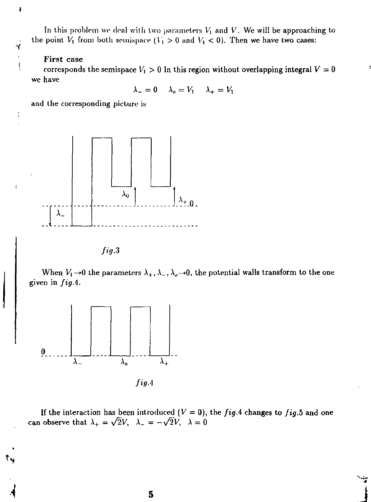In this problem we deal with two parameters  $V_1$  and  $V$ . We will be approaching to the point  $V_1$  from both semispace  $(V_1 > 0$  and  $V_1 < 0$ ). Then we have two cases:

#### First case

ł

4  $\frac{1}{3}$ 

 $\ddot{\cdot}$ 

 $\mathbf{I}$ 

corresponds the semispace  $V_1 > 0$  In this region without overlapping integral  $V = 0$ we have

 $\lambda_-=0$   $\lambda_0=V_1$   $\lambda_+=V_1$ 

and the corresponding picture is



*fig.3* 

When  $V_1 \rightarrow 0$  the parameters  $\lambda_+, \lambda_-, \lambda_o \rightarrow 0$ , the potential walls transform to the one given in *figA.* 



If the interaction has been introduced  $(V = 0)$ , the *fig.*4 changes to *fig.5* and one can observe that  $\lambda_+ = \sqrt{2}V$ ,  $\lambda_- = -\sqrt{2}V$ ,  $\lambda = 0$ 

**5**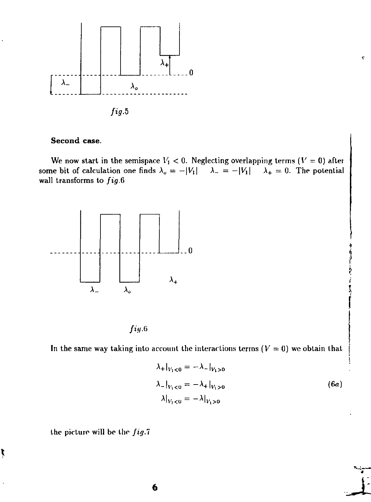

*fig.5* 

#### **Second case.**

We now start in the semispace  $V_1$  < 0. Neglecting overlapping terms ( $V = 0$ ) after some bit of calculation one finds  $\lambda_o = -|V_1|$   $\lambda_{-} = -|V_1|$   $\lambda_{+} = 0$ . The potential wall transforms to *fig.6* 



*/гц.а* 

In the same way taking into account the interactions terms ( $V = 0$ ) we obtain that

$$
\lambda_{+}|_{V_{1}<0} = -\lambda_{-}|_{V_{1}>0}
$$
\n
$$
\lambda_{-}|_{V_{1}<0} = -\lambda_{+}|_{V_{1}>0}
$$
\n
$$
\lambda|_{V_{1}<0} = -\lambda|_{V_{1}>0}
$$
\n(6*a*)

*Л* 

ę

the picture will be the *fig.l* 

ţ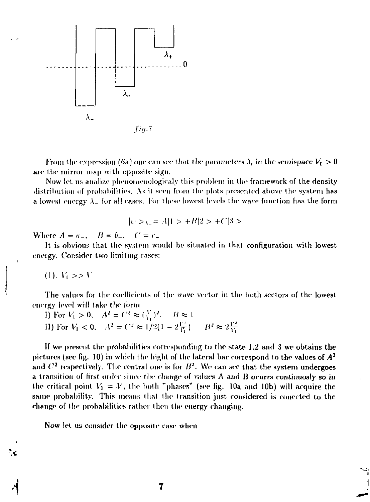

From the expression (6a) one can see that the parameters  $\lambda_i$  in the semispace  $V_1 > 0$ are the mirror map with opposite sign.

Now let us analize phenomenologicaly this problem in the framework of the density distribution of probabilities. As it seen from the plots presented above the system has a lowest energy  $\lambda_{-}$  for all cases. For these lowest levels the wave function has the form

$$
|\psi \rangle_{\text{V}} = |A|1 \rangle + |B|2 \rangle + |C|3 \rangle
$$

Where  $A = a_-, \quad B = b_-, \quad C = c_-$ 

It is obvious that the system would be situated in that configuration with lowest energy. Consider two limiting cases:

 $(1)$ ,  $V_1 >> V$ 

 $\mathbf{r}$ 

The values for the coefficients of the wave vector in the both sectors of the lowest energy level will take the form

1) For 
$$
V_1 > 0
$$
,  $A^2 = C^2 \approx (\frac{V}{V_1})^2$ ,  $B \approx 1$   
11) For  $V_1 < 0$ ,  $A^2 = C^2 \approx 1/2(1 - 2\frac{V^2}{V_1})$ ,  $B^2 \approx 2\frac{V^2}{V_1}$ 

If we present the probabilities corresponding to the state 1,2 and 3 we obtains the pictures (see fig. 10) in which the hight of the lateral bar correspond to the values of  $A^2$ and  $C^2$  respectively. The central one is for  $B^2$ . We can see that the system undergoes a transition of first order since the change of values A and B ocurrs continuosly so in the critical point  $V_1 = V$ , the both "phases" (see fig. 10a and 10b) will acquire the same probability. This means that the transition just considered is conected to the change of the probabilities rather then the energy changing.

Now let us consider the opposite case when

7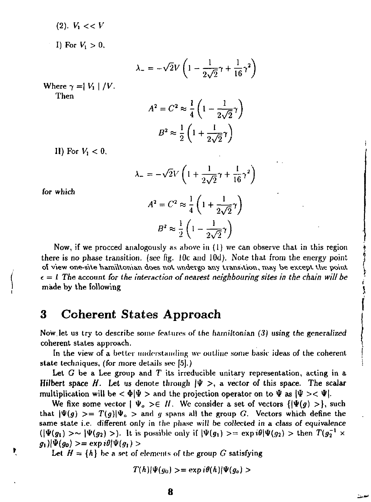(2). V, < < *V* 

I) For  $V_1 > 0$ ,

$$
\lambda_{-} = -\sqrt{2}V\left(1 - \frac{1}{2\sqrt{2}}\gamma + \frac{1}{16}\gamma^2\right)
$$

Where  $\gamma = |V_1|/V$ . Then

$$
A^{2} = C^{2} \approx \frac{1}{4} \left( 1 - \frac{1}{2\sqrt{2}} \gamma \right)
$$

$$
B^{2} \approx \frac{1}{2} \left( 1 + \frac{1}{2\sqrt{2}} \gamma \right)
$$

II) For *V, <* 0,

$$
\lambda_- = -\sqrt{2}V \left( 1 + \frac{1}{2\sqrt{2}} \gamma + \frac{1}{16} \gamma^2 \right)
$$

$$
A^2 = C^2 \approx \frac{1}{4} \left( 1 + \frac{1}{2\sqrt{2}} \gamma \right)
$$

for which

$$
B^2 \approx \frac{1}{2} \left( 1 - \frac{1}{2\sqrt{2}} \gamma \right)
$$
  
Now, if we proceed analogously as above in (1) we can observe that in this region  
there is no phase transition. (see fig. 10c and 10d). Note that from the energy point  
of view one-site hamiltonian does not undergo any transition, may be except the point  
 $\epsilon = I$  The account for the interaction of nearest neighbouring sites in the chain will be  
made by the following

## 3 Coherent States Approach

Now.let us try to describe some features of the fiarniltonian *(3)* using the generalized coherent states approach.

In the view of a better understanding we outline some basic ideas of the coherent state techniques, (for more details see [б].)

Lei *G* be a Lee group and *T* its irreducible unitary representation, acting in a Hilbert space H. Let us denote through  $|\Psi\rangle$ , a vector of this space. The scalar multiplication will be  $\langle \Phi | \Psi \rangle$  and the projection operator on to  $\Psi$  as  $|\Psi \rangle \langle \Psi |$ .

We fixe some vector  $| \Psi_{o} \rangle \in H$ . We consider a set of vectors  $\{|\Psi(g) \rangle\}$ , such that  $|\Psi(g)\rangle = T(g)|\Psi_{o}\rangle$  and g spans all the group G. Vectors which define the same state i.e. different only in the phase will be collected in a class *of* equivalence  $(|\Psi(g_1) \rangle \sim |\Psi(g_2) \rangle$ . It is possible only if  $|\Psi(g_1) \rangle = \exp i\theta |\Psi(g_2) \rangle$  then  $T(g_2^{-1} \times g_1)$  $g_1\vert \vert \Psi(g_0)\vert = \exp i\theta \vert \Psi(g_1)\vert$ 

Let  $H = \{h\}$  be a set of elements of the group G satisfying

$$
T(h)|\Psi(g_0)\rangle = \exp i\theta(h)|\Psi(g_o)\rangle
$$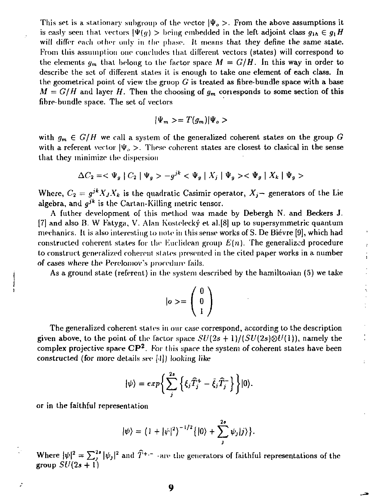This set is a stationary subgroup of the vector  $|\Psi_{o}\rangle$ . From the above assumptions it is easly seen that vectors  $|\Psi(q)| > 1$  being embedded in the left adjoint class  $q_{1h} \in q_1 H$ will differ each other only in the phase. It means that they define the same state. From this assumption one concludes that different vectors (states) will correspond to the elements  $g_m$  that belong to the factor space  $M = G/H$ . In this way in order to describe the set of different states it is enough to take one element of each class. In the geometrical point of view the gruop *G* is treated as fibre-bundle space with a base  $M = G/H$  and layer *H*. Then the choosing of  $g_m$  corresponds to some section of this fibre-bundle space. The set of vectors

$$
|\Psi_m\rangle = T(g_m)|\Psi_o\rangle
$$

with  $g_m \in G/H$  we call a system of the generalized coherent states on the group  $G$ with a referent vector  $|\Psi_{\phi}\rangle$ . These coherent states are closest to clasical in the sense that they minimize the dispersion

$$
\Delta C_2 = \langle \Psi_g | C_2 | \Psi_g \rangle - g^{jk} \langle \Psi_g | X_j | \Psi_g \rangle \langle \Psi_g | X_k | \Psi_g \rangle
$$

Where,  $C_2 = g^{jk} X_j X_k$  is the quadratic Casimir operator,  $X_j$ — generators of the Lie algebra, and *g'<sup>k</sup>* is the Cartan-Killing metric tensor.

A futher development of this method was made by Debergh N. and Beckers J.  $[7]$  and also B. W Fatyga, V. Alan Kostelecký et al. [8] up to supersymmetric quantum mechanics. It is also interesting to note in this sense works of S. De Bievre [9], which had constructed coherent states for the Euclidean group  $E(n)$ . The generalized procedure to construct generalized coherent states presented in the cited paper works in a number of cases where the Pereloniov's procedure fails.

As a ground state (referent) in the system described by the hamiltonian (5) we take

ż ÷,

 $\frac{1}{2}$ 

 $\ddot{\phantom{a}}$ 

$$
|o\rangle = \left(\begin{array}{c} 0\\0\\1\end{array}\right)
$$

The generalized coherent states in our case correspond, according to the description given above, to the point of the factor space  $SU(2s+1)/(SU(2s)\otimes U(1))$ , namely the complex projective space  $\mathbb{C}P^2$ . For this space the system of coherent states have been constructed (for more details sec [I]) looking like

$$
|\psi\rangle = exp\bigg\{\sum_j^{2s}\left\{\xi_j\widehat{T}_j^+ - \bar{\xi}_j\widehat{T}_j^-\right\}\bigg\}|0\rangle.
$$

or in the faithful representation

ż

$$
|\psi\rangle = (1+|\psi|^2)^{-1/2} \{ |0\rangle + \sum_j^{2s} \psi_j |j\rangle \}.
$$

Where  $|\psi|^2 = \sum_{i=1}^{n} |\psi_j|^2$  and  $T^{+-}$  are the generators of faithful representations of the group *SU{2s +* 1)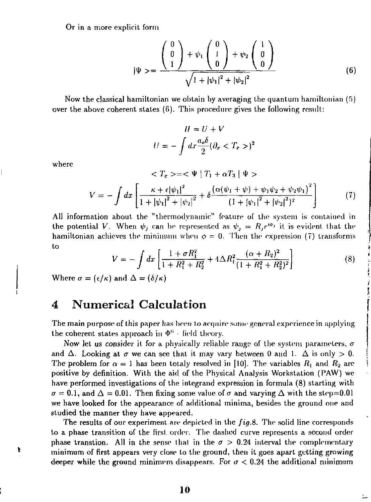Or in a more explicit form

$$
|\Psi\rangle = \frac{\begin{pmatrix} 0\\0\\1 \end{pmatrix} + \psi_1 \begin{pmatrix} 0\\1\\0 \end{pmatrix} + \psi_2 \begin{pmatrix} 1\\0\\0 \end{pmatrix}}{\sqrt{1 + |\psi_1|^2 + |\psi_2|^2}}
$$
(6)

Now the classical hamiltonian we obtain by averaging the quantum hamiltonian  $(5)$ over the above coherent states (6). This procedure gives the following result:

$$
H = U + V
$$

$$
U = -\int dx \frac{a_0 \delta}{2} (\partial_x < T_x >)^2
$$

vhere

ŧ

$$
\langle T_x \rangle = \langle \Psi | T_1 + \alpha T_3 | \Psi \rangle
$$
  

$$
V = - \int dx \left[ \frac{\kappa + \epsilon |\psi_1|^2}{1 + |\psi_1|^2 + |\psi_2|^2} + \delta \frac{\left( \alpha (\psi_1 + \psi) + \psi_1 \psi_2 + \psi_2 \psi_1 \right)^2}{\left( 1 + |\psi_1|^2 + |\psi_2|^2 \right)^2} \right]
$$
(7)

All information about the "thermodynamic" feature of the system is contained in the potential V. When  $\psi_j$  can be represented as  $\psi_j = R_j e^{i\phi_j}$  it is evident that the hamiltonian achieves the minimum when  $\phi = 0$ . Then the expression (7) transforms to

$$
V = -\int dx \left[ \frac{1 + \sigma R_1^2}{1 + R_1^2 + R_2^2} + 4\Delta R_1^2 \frac{(\alpha + R_2)^2}{(1 + R_1^2 + R_2^2)^2} \right]
$$
(8)

Where  $\sigma = (\epsilon/\kappa)$  and  $\Delta = (\delta/\kappa)$ 

## 4 Numerical Calculation

The main purpose of this paper has been to acquire some general experience in applying the coherent states approach in  $\Phi^6$  - field theory.

Now let us consider it for a physically reliable range of the system parameters,  $\sigma$ and  $\Delta$ . Looking at  $\sigma$  we can see that it may vary between 0 and 1.  $\Delta$  is only  $> 0$ . The problem for  $\alpha = 1$  has been totaly resolved in [10]. The variables  $R_1$  and  $R_2$  are positive by definition. With the aid of the Physical Analysis Workstation (PAW) we have performed investigations of the integrand expression in formula (8) starting with  $\sigma = 0.1$ , and  $\Delta = 0.01$ . Then fixing some value of  $\sigma$  and varying  $\Delta$  with the step=0.01 we have looked for the appearance of additional minima, besides the ground one and studied the manner they have appeared.

The results of our experiment are depicted in the *fig.B.* The solid line corresponds to a phase transition of the first order. The dashed curve represents a second order phase transtion. All in the sense that in the  $\sigma > 0.24$  interval the complementary minimum of first appears very close to the ground, then it goes apart getting growing deeper while the ground minimum disappears. For  $\sigma$  < 0.24 the additional minimum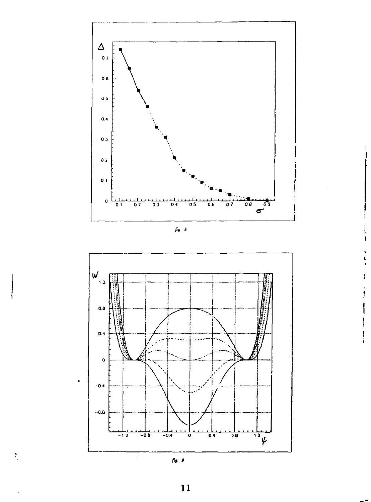





 $\bullet$ 

 $\pmb{\tau}$ 



 $\bar{1}\bar{1}$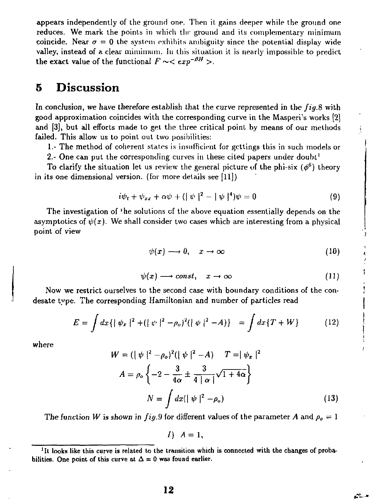appears independently of the ground one. Then it gains deeper while the ground one reduces. We mark the points in which the ground and its complementary minimum coincide. Near  $\sigma = 0$  the system exhibits ambiguity since the potential display wide valley, instead of a clear mimimum. In this situation it is nearly impossible to predict the exact value of the functional  $F \sim < exp^{-\beta H} >$ .

## 5 Discussion

In conclusion, we have therefore establish that the curve represented in the *fig.S* with good approximation coincides with the corresponding curve in the Masperi's works [2] and [3], but all efforts made to get the three critical point by means of our methods failed. This allow us to point out two posibilities:

1.- The method of coherent states is insufficient for gcttings this in such models or

2.- One can put the corresponding curves in these cited papers under doubt<sup>1</sup>

To clarify the situation let us review the general picture of the phi-six  $(\phi^6)$  theory in its one dimensional version, (for more details see [11])

$$
i\psi_t + \psi_{xx} + \alpha\psi + (|\psi|^2 - |\psi|^4)\psi = 0 \qquad (9)
$$

The investigation of the solutions of the above equation essentially depends on the asymptotics of  $\psi(x)$ . We shall consider two cases which are interesting from a physical point of view

$$
\psi(x) \longrightarrow 0, \quad x \to \infty \tag{10}
$$

$$
\psi(x) \longrightarrow const, \quad x \to \infty \tag{11}
$$

Now we restrict ourselves to the second case with boundary conditions of the condesate type. The corresponding Hamiltonian and number of particles read

$$
E = \int dx \{ |\psi_x|^2 + (|\psi|^2 - \rho_o)^2 (|\psi|^2 - A) \} = \int dx \{ T + W \}
$$
 (12)

where

$$
W = (|\psi|^2 - \rho_o)^2 (|\psi|^2 - A) \qquad T = |\psi_x|^2
$$
  

$$
A = \rho_o \left\{ -2 - \frac{3}{4\alpha} \pm \frac{3}{4|\alpha|} \sqrt{1 + 4\alpha} \right\}
$$
  

$$
N = \int dx (|\psi|^2 - \rho_o) \tag{13}
$$

КL.

The function *W* is shown in *fig.*9 for different values of the parameter *A* and  $\rho_o = 1$ 

*<sup>* $A = 1$ *</sup>* 

<sup>&</sup>lt;sup>1</sup>It looks like this curve is related to the transition which is connected with the changes of probabilities. One point of this curve at  $\Delta = 0$  was found earlier.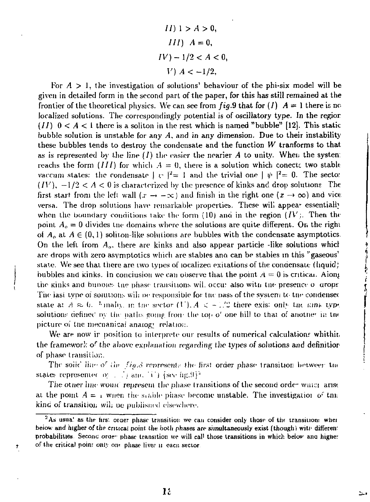$II)$  1 >  $A > 0$ ,  $III$ )  $A = 0$ ,  $IV$ )  $-1/2 < A < 0$ , *V*)  $A < -1/2$ ,

For  $A > 1$ , the investigation of solutions' behaviour of the phi-six model will be given in detailed form in the second part of the paper, for this has still remained at the frontier of the theoretical physics. We can see from  $fig.9$  that for  $(I)$   $A = 1$  there is no localized solutions. The correspondingly potential is of oscillatory type. In the regior  $(11)$   $0 < A < 1$  there is a soliton in the rest which is named "bubble" [12]. This static bubble solution is unstable for any *A,* and in any dimension. Due to their instability these bubbles tends to destroy the condensate and the function *W* tranforms to that as is represented by the line  $(I)$  the easier the nearier  $A$  to unity. When the system reachs the form  $(III)$  for which  $A = 0$ , there is a solution which conects two stable vaccum states: the condensate  $|v|^2 = 1$  and the trivial one  $|v|^2 = 0$ . The secto:  $(IV)$ ,  $-1/2 < A < 0$  is characterized by the presence of kinks and drop solutions The first start from the left wall  $(x \to -\infty)$  and finish in the right one  $(x \to \infty)$  and vice versa. The drop solutions have remarkable properties. These will appear essentially when the boundary conditions take the form (10) and in the region  $\{IV\}$ . Then the point  $A_{\alpha} = 0$  divides the domains where the solutions are quite different. On the right of  $A_0$  at  $A \in (0,1)$  soliton-like solutions are bubbles with the condensate asymptotics. On the left from *A<sup>0</sup> .* there are kinks and also appear particle -like solutions whicl are drops with zero asvmptotics which are stables ana can be stabies in this ''gaseous' state. We see that there are two types of localizeo exitations of the condensate (liquid; bubbles and kinks, in conclusion we can observe that the point  $A = 0$  is critical. Along the kinks and bubbles the phase transitions wil. occu: also with the presence o drops The jast type of solutions will be responsible for the pass of the system to the condensed state a:  $A \approx b$ . Jungle, in free sector  $(F)$ .  $A \leq C \frac{D}{D}$  there exis: only two into the intersolutions defined by the paths going from the top  $o'$  one hill to that of another in the picture oi tne mecnanicai analog' relation.

 $\frac{1}{2}$ 

We are now ir position to interprete our results of numerical calculations whithit. the framework of the above explanation regarding the types of solutions and definition of phase transition.

The soiic' line of the  $fig.8$  represents the first order phase transition betweer the states represented  $\sigma$  . . .<sup>\*</sup>*j* am. (4) {see iig.<sup>9}2</sup>

The other line would represent the phase transitions of the second order which arise at the point  $A = I$  when the stable phase become unstable. The investigation of this kind of transition will be published elsewhere.

 $^\mathrm{+}$ 

 $2$ As usua' as the firs: orger phase transition we can consider only those of the transition: where beiow and higher of the critical point the both phases are simultaneously exist (though) with differen: probabilities. Secono orge- phase transition we will call those transitions in which belov ang higher of the critical poin: only one phase lives n eacn sector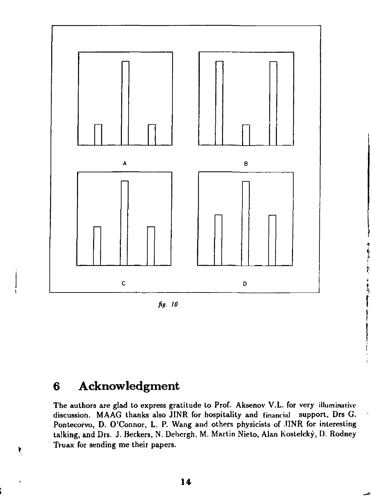

*fig. 10* 

## **6 Acknowledgment**

ŧ

The authors are glad to express gratitude to Prof. Aksenov V.L. for very illuminative discussion. MAAG thanks also JINR for hospitality and financial support, Drs G. Pontecorvo, D. O'Connor, L. P. Wang and others physicists of .IINR for interesting talking, and Drs. J. Beckers, N. Debergh, M. Martin Nieto, Alan Kostelcky, D. Rodney Truax for sending me their papers.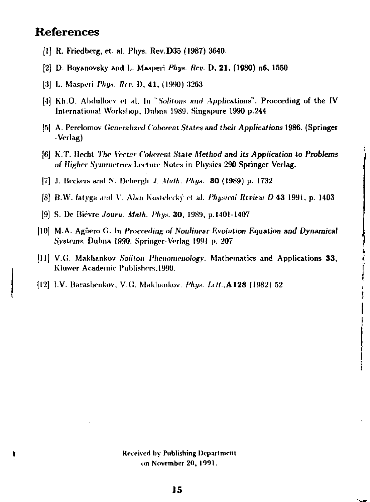## References

- [1] R. Friedbcrg, et. el. Phys. Rev.D35 (J987) 3640.
- [2] D. Boyanovsky and L. Masperi *Phys. Rev.* D, 21, (1980) n6, 1550
- [3] L. Masperi *Phys. Rev.* D, 41, (1990) 3263
- [•I] Kh.O. Abdulloev et al. In *~Solituns and Applications".* Proceeding of the IV International Workshop, Duhna 1989. Singapure 1990 p.244
- [5] A. Perelomov *Generalized Coherent States and their Applications* 1986. (Springer -Verlag)
- [6] K.T. Hecht *The Vector Coherent State Method and its Application to Problems*  of Higher Symmetries Lecture Notes in Physics 290 Springer-Verlag.
- |7] J. Beckers and N. Debeigh *J. Math. I'hys.* 30 (1989) p. 1732
- [S] B.W. fatyga and V. Alan Koslolerky et al. *Physical Rivitw D* 43 1991. p. 1403
- [9] S. De Bievre *Journ. Math. Phys.* 30, 1989, p.1401-1407
- [10] M.A. Aguero G. In *Proceeding of Nonlinear Evolution Equation and Dynamical Systems.* Dubna 1990. Springer-Verlag 1991 p. 207
- [II] V.G. Makhankov *Solilon Phenomenology.* Mathematics and Applications 33, Kluwer Academic Publishers, 1990.
- [12] I.V. Maraslienkov, V.G. Makhankov. *Phgs. htt..A128* (1982) 52

Received by Publishing Department on November 20, 1991.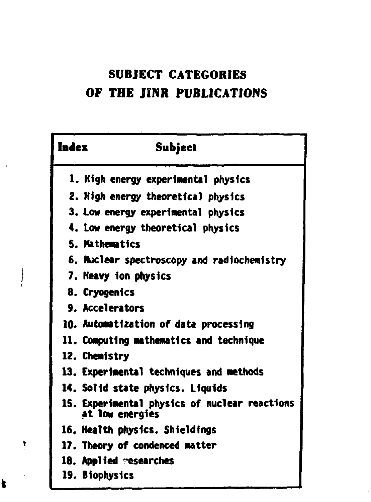# **SUBJECT CATEGORIES OF THE JINR PUBLICATIONS**

| Index | Subject                                                          |
|-------|------------------------------------------------------------------|
|       | 1. High energy experimental physics                              |
|       | 2. High energy theoretical physics                               |
|       | 3. Low energy experimental physics                               |
|       | 4. Low energy theoretical physics                                |
|       | 5. Mathematics                                                   |
|       | 6. Nuclear spectroscopy and radiochemistry                       |
|       | 7. Heavy ion physics                                             |
|       | 8. Cryogenics                                                    |
|       | <b>9. Accelerators</b>                                           |
|       | 10. Automatization of data processing                            |
|       | 11. Computing mathematics and technique                          |
|       | 12. Chemistry                                                    |
|       | 13. Experimental techniques and methods                          |
|       | 14. Solid state physics. Liquids                                 |
|       | 15. Experimental physics of nuclear reactions<br>at low energies |
|       | 16. Health physics. Shieldings                                   |
|       | 17. Theory of condenced matter                                   |
|       | 18. Applied researches                                           |
|       | 19. Biophysics                                                   |

 $\mathbf{r}$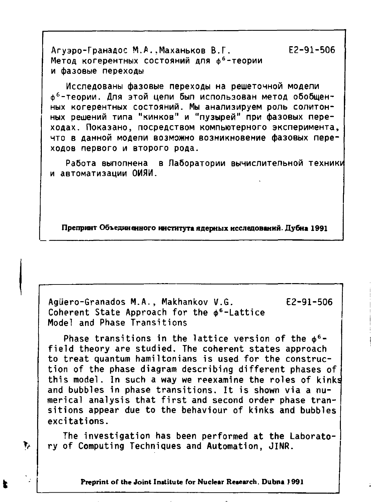Агуэро-Гранадос М.А..Маханьков В.Г. **Е2-91-506** Метод когерентных состояний для ф°-теории  **фазовы переходы** 

Исследованы фазовые переходы на решеточной модели ф<sup>6</sup>-теории. Для этой цепи был использован метод обобщенных когерентных состояний. Мы анализируем роль солитонных решений типа "кинков" и "пузырей" при фазовых переходах. Показано, посредством компьютерного эксперимента, что в данной модели возможно возникновение фазовых переходов первого и второго рода.

Работа выполнена в Лаборатории вычислительной техники  **автоматизаци ОИЯИ.** 

Препринт Объединенного института ядерных исследований. Дубна 1991

**Agiiero-Granados M.A., Makhankov V.G. E2-91-506**  Coherent State Approach for the  $\phi$ <sup>6</sup>-Lattice **Model and Phase Transitions** 

**Phase transitions in the lattice version of the ф 6 field theory are studied. The coherent states approach to treat quantum hamiltonians is used for the construction of the phase diagram describing different phases of this model. In such a way we reexamine the roles of kinks and bubbles in phase transitions. It is shown via a numerical analysis that first and second order phase transitions appear due to the behaviour of kinks and bubbles excitations.** 

**The investigation has been performed at the Laborato- >/ ry of Computing Techniques and Automation, JINR.** 

**Preprint of the Joint Institute for Nuclear Research. Dubna 1991**